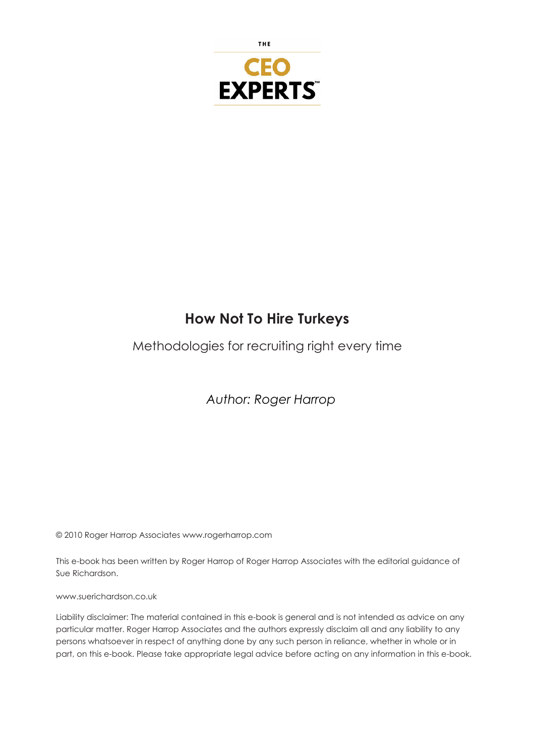

### **How Not To Hire Turkeys**

### Methodologies for recruiting right every time

*Author: Roger Harrop*

© 2010 Roger Harrop Associates www.rogerharrop.com

This e-book has been written by Roger Harrop of Roger Harrop Associates with the editorial guidance of Sue Richardson.

www.suerichardson.co.uk

Liability disclaimer: The material contained in this e-book is general and is not intended as advice on any particular matter. Roger Harrop Associates and the authors expressly disclaim all and any liability to any persons whatsoever in respect of anything done by any such person in reliance, whether in whole or in part, on this e-book. Please take appropriate legal advice before acting on any information in this e-book.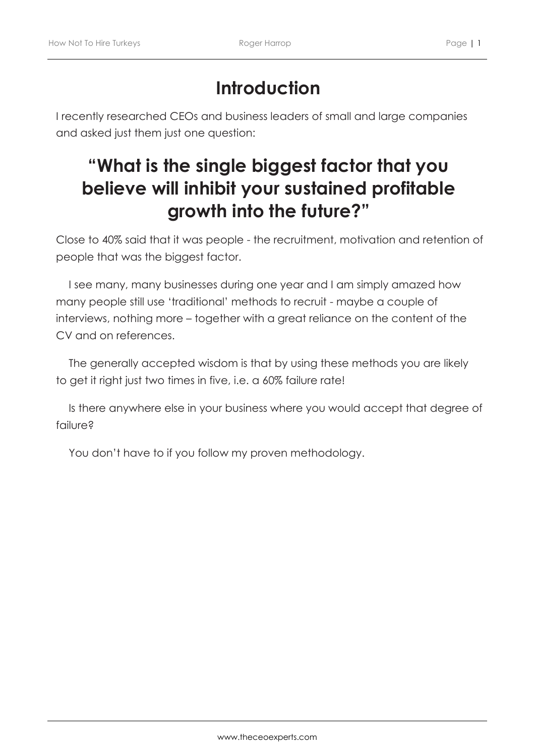## **Introduction**

I recently researched CEOs and business leaders of small and large companies and asked just them just one question:

## **"What is the single biggest factor that you believe will inhibit your sustained profitable growth into the future?"**

Close to 40% said that it was people - the recruitment, motivation and retention of people that was the biggest factor.

I see many, many businesses during one year and I am simply amazed how many people still use 'traditional' methods to recruit - maybe a couple of interviews, nothing more – together with a great reliance on the content of the CV and on references.

The generally accepted wisdom is that by using these methods you are likely to get it right just two times in five, i.e. a 60% failure rate!

Is there anywhere else in your business where you would accept that degree of failure?

You don't have to if you follow my proven methodology.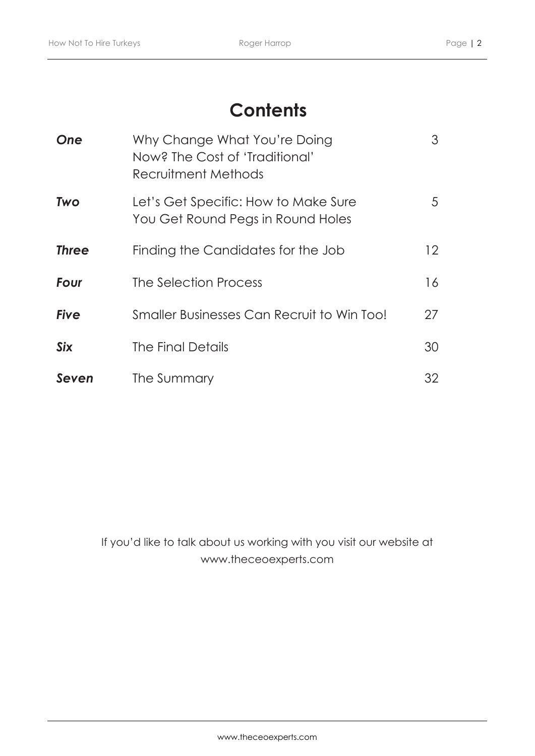## **Contents**

| One          | Why Change What You're Doing<br>Now? The Cost of 'Traditional'<br>Recruitment Methods | 3  |
|--------------|---------------------------------------------------------------------------------------|----|
| <b>Two</b>   | Let's Get Specific: How to Make Sure<br>You Get Round Pegs in Round Holes             | 5  |
| <b>Three</b> | Finding the Candidates for the Job                                                    | 12 |
| Four         | The Selection Process                                                                 | 16 |
| <b>Five</b>  | Smaller Businesses Can Recruit to Win Too!                                            | 27 |
| <b>Six</b>   | The Final Details                                                                     | 30 |
| Seven        | The Summary                                                                           | 32 |

If you'd like to talk about us working with you visit our website at www.theceoexperts.com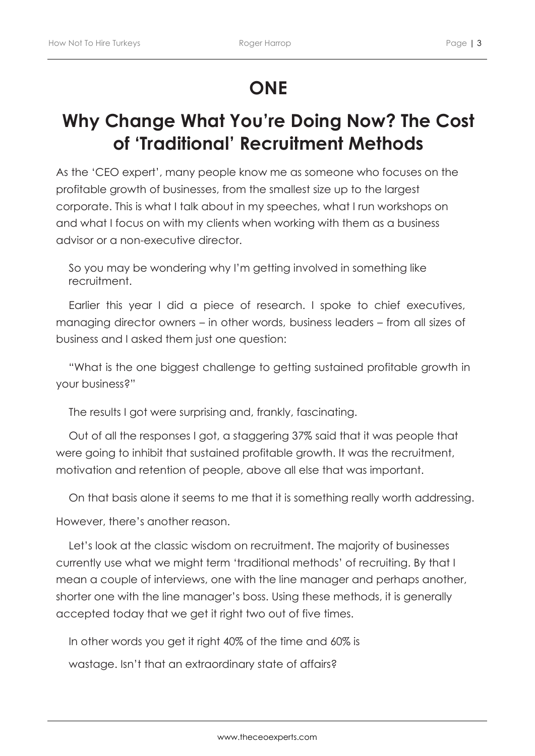## **ONE**

## **Why Change What You're Doing Now? The Cost of 'Traditional' Recruitment Methods**

As the 'CEO expert', many people know me as someone who focuses on the profitable growth of businesses, from the smallest size up to the largest corporate. This is what I talk about in my speeches, what I run workshops on and what I focus on with my clients when working with them as a business advisor or a non-executive director.

So you may be wondering why I'm getting involved in something like recruitment.

Earlier this year I did a piece of research. I spoke to chief executives, managing director owners – in other words, business leaders – from all sizes of business and I asked them just one question:

"What is the one biggest challenge to getting sustained profitable growth in your business?"

The results I got were surprising and, frankly, fascinating.

Out of all the responses I got, a staggering 37% said that it was people that were going to inhibit that sustained profitable growth. It was the recruitment, motivation and retention of people, above all else that was important.

On that basis alone it seems to me that it is something really worth addressing.

However, there's another reason.

Let's look at the classic wisdom on recruitment. The majority of businesses currently use what we might term 'traditional methods' of recruiting. By that I mean a couple of interviews, one with the line manager and perhaps another, shorter one with the line manager's boss. Using these methods, it is generally accepted today that we get it right two out of five times.

In other words you get it right 40% of the time and 60% is wastage. Isn't that an extraordinary state of affairs?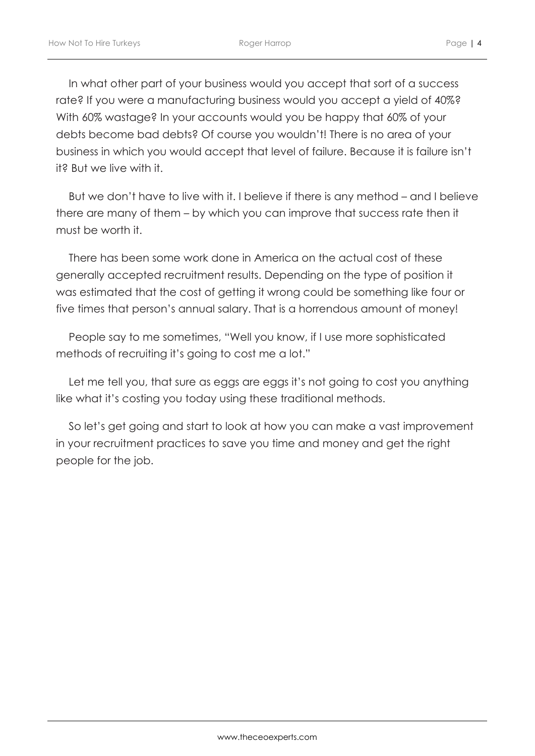In what other part of your business would you accept that sort of a success rate? If you were a manufacturing business would you accept a yield of 40%? With 60% wastage? In your accounts would you be happy that 60% of your debts become bad debts? Of course you wouldn't! There is no area of your business in which you would accept that level of failure. Because it is failure isn't it? But we live with it.

But we don't have to live with it. I believe if there is any method – and I believe there are many of them – by which you can improve that success rate then it must be worth it.

There has been some work done in America on the actual cost of these generally accepted recruitment results. Depending on the type of position it was estimated that the cost of getting it wrong could be something like four or five times that person's annual salary. That is a horrendous amount of money!

People say to me sometimes, "Well you know, if I use more sophisticated methods of recruiting it's going to cost me a lot."

Let me tell you, that sure as eggs are eggs it's not going to cost you anything like what it's costing you today using these traditional methods.

So let's get going and start to look at how you can make a vast improvement in your recruitment practices to save you time and money and get the right people for the job.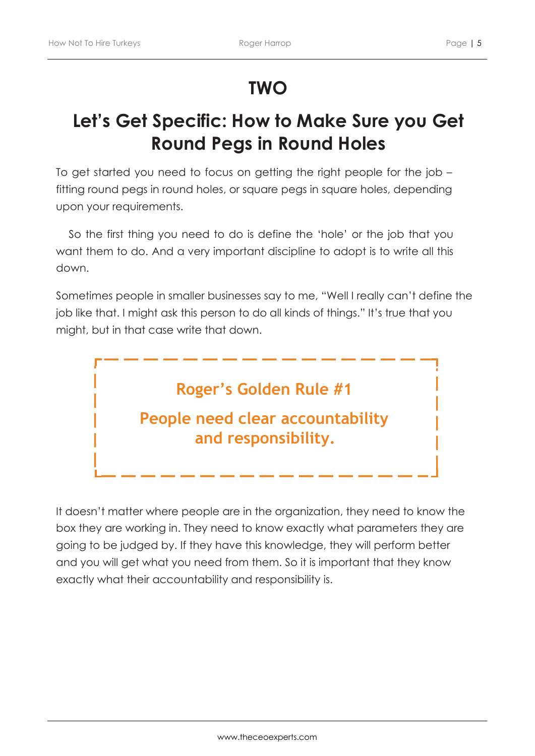## **TWO**

## **Let's Get Specific: How to Make Sure you Get Round Pegs in Round Holes**

To get started you need to focus on getting the right people for the job – fitting round pegs in round holes, or square pegs in square holes, depending upon your requirements.

So the first thing you need to do is define the 'hole' or the job that you want them to do. And a very important discipline to adopt is to write all this down.

Sometimes people in smaller businesses say to me, "Well I really can't define the job like that. I might ask this person to do all kinds of things." It's true that you might, but in that case write that down.



It doesn't matter where people are in the organization, they need to know the box they are working in. They need to know exactly what parameters they are going to be judged by. If they have this knowledge, they will perform better and you will get what you need from them. So it is important that they know exactly what their accountability and responsibility is.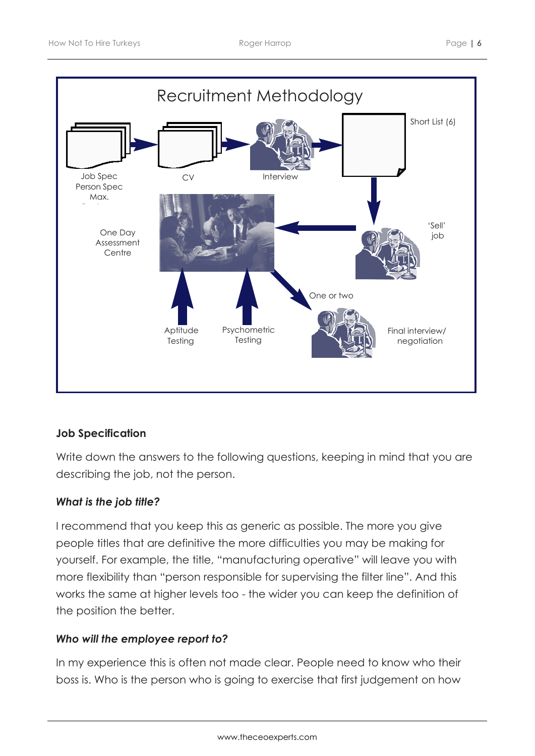

#### **Job Specification**

Write down the answers to the following questions, keeping in mind that you are describing the job, not the person.

#### *What is the job title?*

I recommend that you keep this as generic as possible. The more you give people titles that are definitive the more difficulties you may be making for yourself. For example, the title, "manufacturing operative" will leave you with more flexibility than "person responsible for supervising the filter line". And this works the same at higher levels too - the wider you can keep the definition of the position the better.

#### *Who will the employee report to?*

In my experience this is often not made clear. People need to know who their boss is. Who is the person who is going to exercise that first judgement on how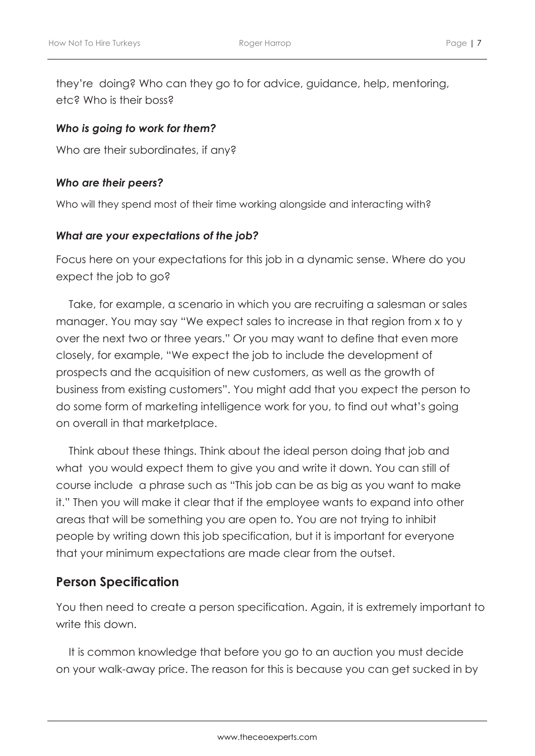they're doing? Who can they go to for advice, guidance, help, mentoring, etc? Who is their boss?

#### *Who is going to work for them?*

Who are their subordinates, if any?

#### *Who are their peers?*

Who will they spend most of their time working alongside and interacting with?

#### *What are your expectations of the job?*

Focus here on your expectations for this job in a dynamic sense. Where do you expect the job to go?

Take, for example, a scenario in which you are recruiting a salesman or sales manager. You may say "We expect sales to increase in that region from x to y over the next two or three years." Or you may want to define that even more closely, for example, "We expect the job to include the development of prospects and the acquisition of new customers, as well as the growth of business from existing customers". You might add that you expect the person to do some form of marketing intelligence work for you, to find out what's going on overall in that marketplace.

Think about these things. Think about the ideal person doing that job and what you would expect them to give you and write it down. You can still of course include a phrase such as "This job can be as big as you want to make it." Then you will make it clear that if the employee wants to expand into other areas that will be something you are open to. You are not trying to inhibit people by writing down this job specification, but it is important for everyone that your minimum expectations are made clear from the outset.

### **Person Specification**

You then need to create a person specification. Again, it is extremely important to write this down.

It is common knowledge that before you go to an auction you must decide on your walk-away price. The reason for this is because you can get sucked in by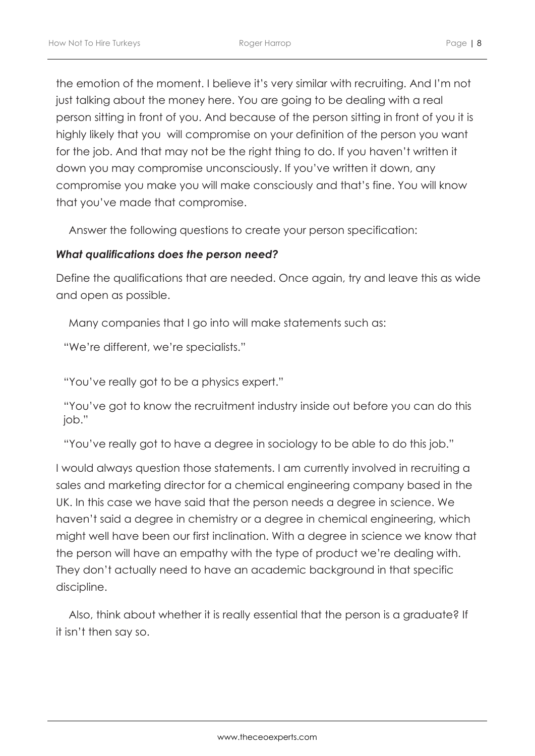the emotion of the moment. I believe it's very similar with recruiting. And I'm not just talking about the money here. You are going to be dealing with a real person sitting in front of you. And because of the person sitting in front of you it is highly likely that you will compromise on your definition of the person you want for the job. And that may not be the right thing to do. If you haven't written it down you may compromise unconsciously. If you've written it down, any compromise you make you will make consciously and that's fine. You will know that you've made that compromise.

Answer the following questions to create your person specification:

#### *What qualifications does the person need?*

Define the qualifications that are needed. Once again, try and leave this as wide and open as possible.

Many companies that I go into will make statements such as:

"We're different, we're specialists."

"You've really got to be a physics expert."

"You've got to know the recruitment industry inside out before you can do this job."

"You've really got to have a degree in sociology to be able to do this job."

I would always question those statements. I am currently involved in recruiting a sales and marketing director for a chemical engineering company based in the UK. In this case we have said that the person needs a degree in science. We haven't said a degree in chemistry or a degree in chemical engineering, which might well have been our first inclination. With a degree in science we know that the person will have an empathy with the type of product we're dealing with. They don't actually need to have an academic background in that specific discipline.

Also, think about whether it is really essential that the person is a graduate? If it isn't then say so.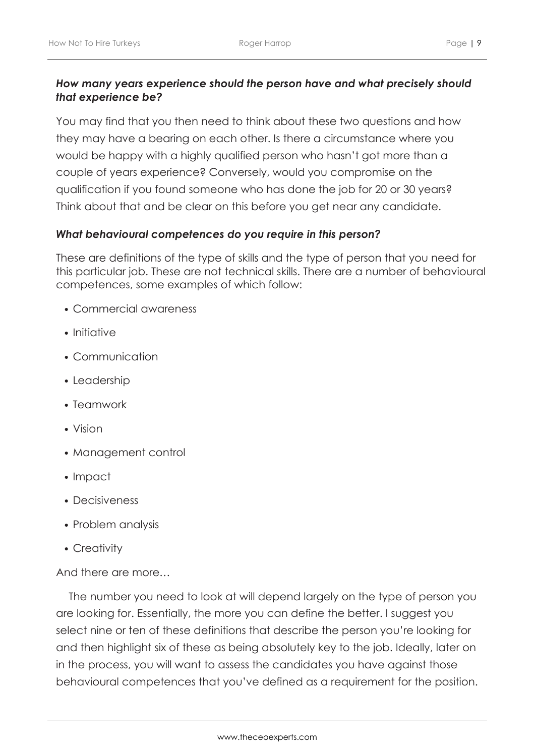#### *How many years experience should the person have and what precisely should that experience be?*

You may find that you then need to think about these two questions and how they may have a bearing on each other. Is there a circumstance where you would be happy with a highly qualified person who hasn't got more than a couple of years experience? Conversely, would you compromise on the qualification if you found someone who has done the job for 20 or 30 years? Think about that and be clear on this before you get near any candidate.

#### *What behavioural competences do you require in this person?*

These are definitions of the type of skills and the type of person that you need for this particular job. These are not technical skills. There are a number of behavioural competences, some examples of which follow:

- Commercial awareness
- Initiative
- Communication
- Leadership
- Teamwork
- Vision
- Management control
- Impact
- Decisiveness
- Problem analysis
- Creativity

And there are more…

The number you need to look at will depend largely on the type of person you are looking for. Essentially, the more you can define the better. I suggest you select nine or ten of these definitions that describe the person you're looking for and then highlight six of these as being absolutely key to the job. Ideally, later on in the process, you will want to assess the candidates you have against those behavioural competences that you've defined as a requirement for the position.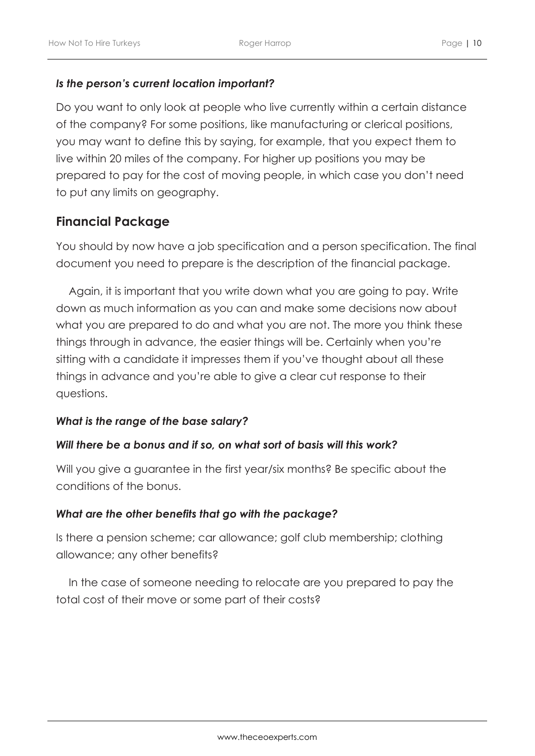#### *Is the person's current location important?*

Do you want to only look at people who live currently within a certain distance of the company? For some positions, like manufacturing or clerical positions, you may want to define this by saying, for example, that you expect them to live within 20 miles of the company. For higher up positions you may be prepared to pay for the cost of moving people, in which case you don't need to put any limits on geography.

### **Financial Package**

You should by now have a job specification and a person specification. The final document you need to prepare is the description of the financial package.

Again, it is important that you write down what you are going to pay. Write down as much information as you can and make some decisions now about what you are prepared to do and what you are not. The more you think these things through in advance, the easier things will be. Certainly when you're sitting with a candidate it impresses them if you've thought about all these things in advance and you're able to give a clear cut response to their questions.

#### *What is the range of the base salary?*

#### *Will there be a bonus and if so, on what sort of basis will this work?*

Will you give a guarantee in the first year/six months? Be specific about the conditions of the bonus.

#### *What are the other benefits that go with the package?*

Is there a pension scheme; car allowance; golf club membership; clothing allowance; any other benefits?

In the case of someone needing to relocate are you prepared to pay the total cost of their move or some part of their costs?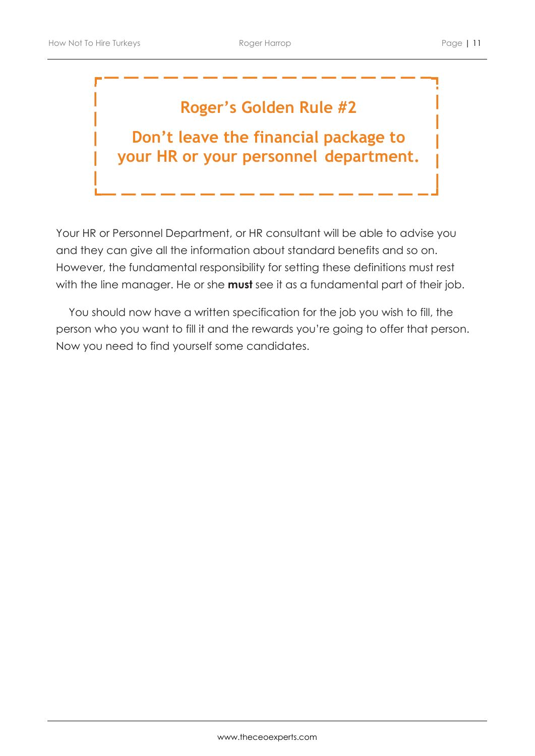### **Roger's Golden Rule #2**

**Don't leave the financial package to your HR or your personnel department.**

Your HR or Personnel Department, or HR consultant will be able to advise you and they can give all the information about standard benefits and so on. However, the fundamental responsibility for setting these definitions must rest with the line manager. He or she **must** see it as a fundamental part of their job.

You should now have a written specification for the job you wish to fill, the person who you want to fill it and the rewards you're going to offer that person. Now you need to find yourself some candidates.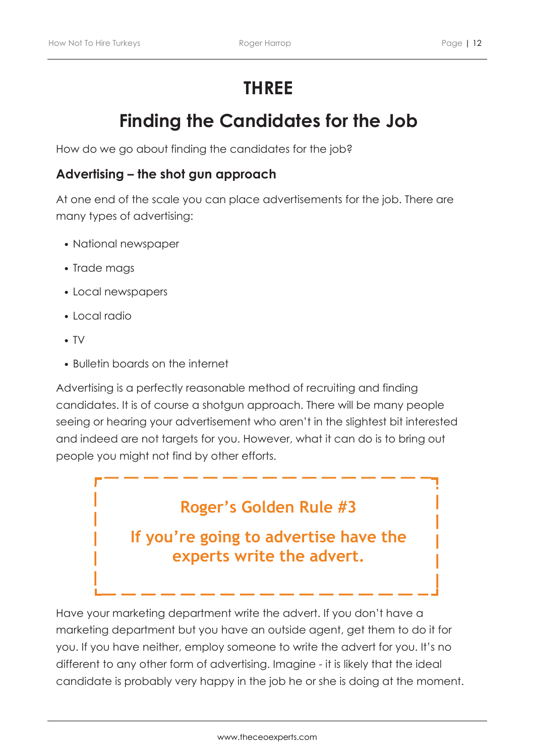# **THREE**

## **Finding the Candidates for the Job**

How do we go about finding the candidates for the job?

#### **Advertising – the shot gun approach**

At one end of the scale you can place advertisements for the job. There are many types of advertising:

- National newspaper
- Trade mags
- Local newspapers
- Local radio
- TV
- Bulletin boards on the internet

Advertising is a perfectly reasonable method of recruiting and finding candidates. It is of course a shotgun approach. There will be many people seeing or hearing your advertisement who aren't in the slightest bit interested and indeed are not targets for you. However, what it can do is to bring out people you might not find by other efforts.

### **Roger's Golden Rule #3**

**If you're going to advertise have the experts write the advert.**

Have your marketing department write the advert. If you don't have a marketing department but you have an outside agent, get them to do it for you. If you have neither, employ someone to write the advert for you. It's no different to any other form of advertising. Imagine - it is likely that the ideal candidate is probably very happy in the job he or she is doing at the moment.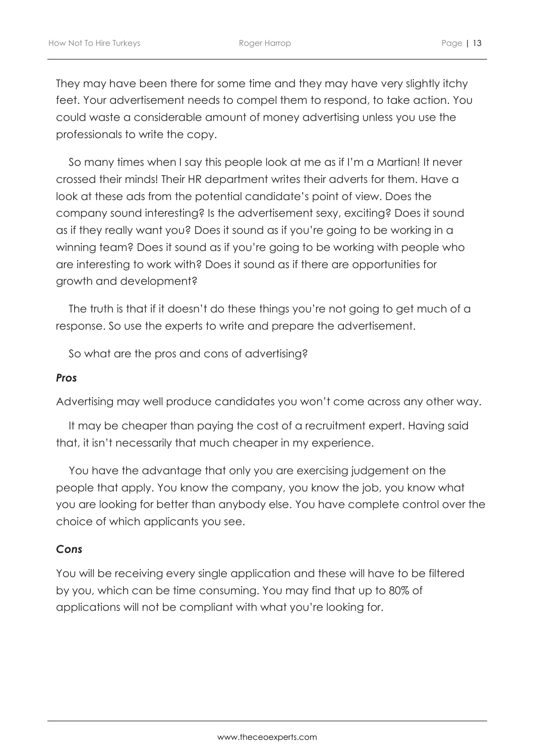They may have been there for some time and they may have very slightly itchy feet. Your advertisement needs to compel them to respond, to take action. You could waste a considerable amount of money advertising unless you use the professionals to write the copy.

So many times when I say this people look at me as if I'm a Martian! It never crossed their minds! Their HR department writes their adverts for them. Have a look at these ads from the potential candidate's point of view. Does the company sound interesting? Is the advertisement sexy, exciting? Does it sound as if they really want you? Does it sound as if you're going to be working in a winning team? Does it sound as if you're going to be working with people who are interesting to work with? Does it sound as if there are opportunities for growth and development?

The truth is that if it doesn't do these things you're not going to get much of a response. So use the experts to write and prepare the advertisement.

So what are the pros and cons of advertising?

#### *Pros*

Advertising may well produce candidates you won't come across any other way.

It may be cheaper than paying the cost of a recruitment expert. Having said that, it isn't necessarily that much cheaper in my experience.

You have the advantage that only you are exercising judgement on the people that apply. You know the company, you know the job, you know what you are looking for better than anybody else. You have complete control over the choice of which applicants you see.

#### *Cons*

You will be receiving every single application and these will have to be filtered by you, which can be time consuming. You may find that up to 80% of applications will not be compliant with what you're looking for.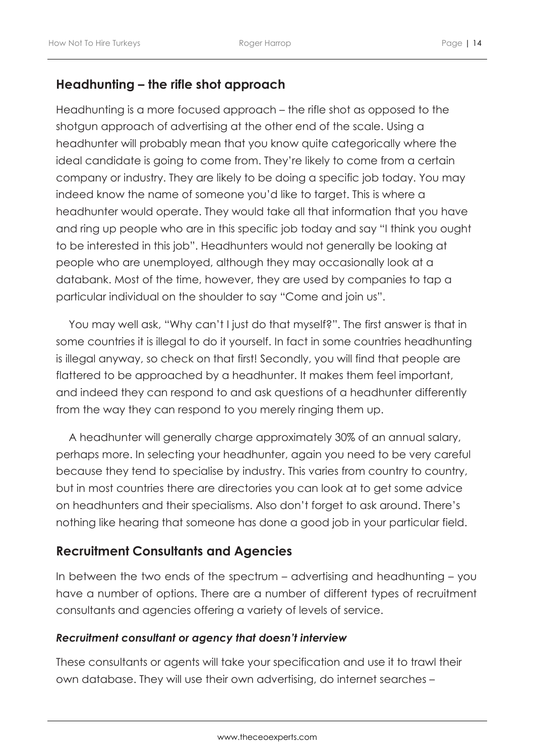### **Headhunting – the rifle shot approach**

Headhunting is a more focused approach – the rifle shot as opposed to the shotgun approach of advertising at the other end of the scale. Using a headhunter will probably mean that you know quite categorically where the ideal candidate is going to come from. They're likely to come from a certain company or industry. They are likely to be doing a specific job today. You may indeed know the name of someone you'd like to target. This is where a headhunter would operate. They would take all that information that you have and ring up people who are in this specific job today and say "I think you ought to be interested in this job". Headhunters would not generally be looking at people who are unemployed, although they may occasionally look at a databank. Most of the time, however, they are used by companies to tap a particular individual on the shoulder to say "Come and join us".

You may well ask, "Why can't I just do that myself?". The first answer is that in some countries it is illegal to do it yourself. In fact in some countries headhunting is illegal anyway, so check on that first! Secondly, you will find that people are flattered to be approached by a headhunter. It makes them feel important, and indeed they can respond to and ask questions of a headhunter differently from the way they can respond to you merely ringing them up.

A headhunter will generally charge approximately 30% of an annual salary, perhaps more. In selecting your headhunter, again you need to be very careful because they tend to specialise by industry. This varies from country to country, but in most countries there are directories you can look at to get some advice on headhunters and their specialisms. Also don't forget to ask around. There's nothing like hearing that someone has done a good job in your particular field.

### **Recruitment Consultants and Agencies**

In between the two ends of the spectrum – advertising and headhunting – you have a number of options. There are a number of different types of recruitment consultants and agencies offering a variety of levels of service.

#### *Recruitment consultant or agency that doesn't interview*

These consultants or agents will take your specification and use it to trawl their own database. They will use their own advertising, do internet searches –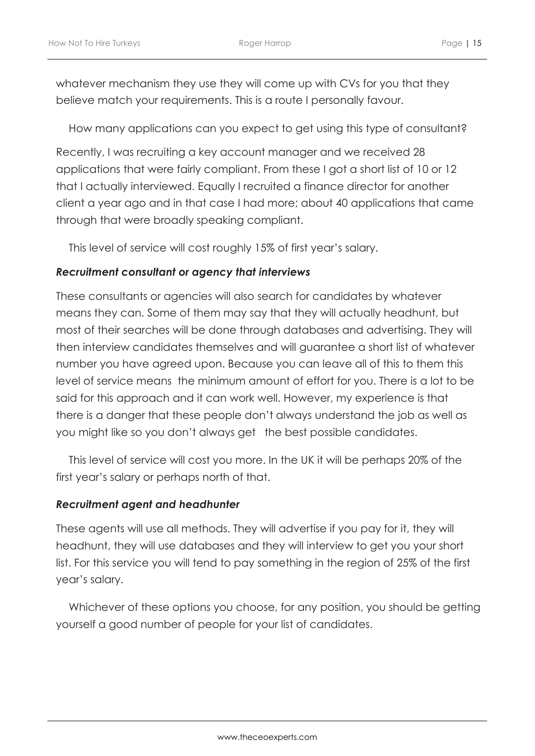whatever mechanism they use they will come up with CVs for you that they believe match your requirements. This is a route I personally favour.

How many applications can you expect to get using this type of consultant?

Recently, I was recruiting a key account manager and we received 28 applications that were fairly compliant. From these I got a short list of 10 or 12 that I actually interviewed. Equally I recruited a finance director for another client a year ago and in that case I had more; about 40 applications that came through that were broadly speaking compliant.

This level of service will cost roughly 15% of first year's salary.

#### *Recruitment consultant or agency that interviews*

These consultants or agencies will also search for candidates by whatever means they can. Some of them may say that they will actually headhunt, but most of their searches will be done through databases and advertising. They will then interview candidates themselves and will guarantee a short list of whatever number you have agreed upon. Because you can leave all of this to them this level of service means the minimum amount of effort for you. There is a lot to be said for this approach and it can work well. However, my experience is that there is a danger that these people don't always understand the job as well as you might like so you don't always get the best possible candidates.

This level of service will cost you more. In the UK it will be perhaps 20% of the first year's salary or perhaps north of that.

#### *Recruitment agent and headhunter*

These agents will use all methods. They will advertise if you pay for it, they will headhunt, they will use databases and they will interview to get you your short list. For this service you will tend to pay something in the region of 25% of the first year's salary.

Whichever of these options you choose, for any position, you should be getting yourself a good number of people for your list of candidates.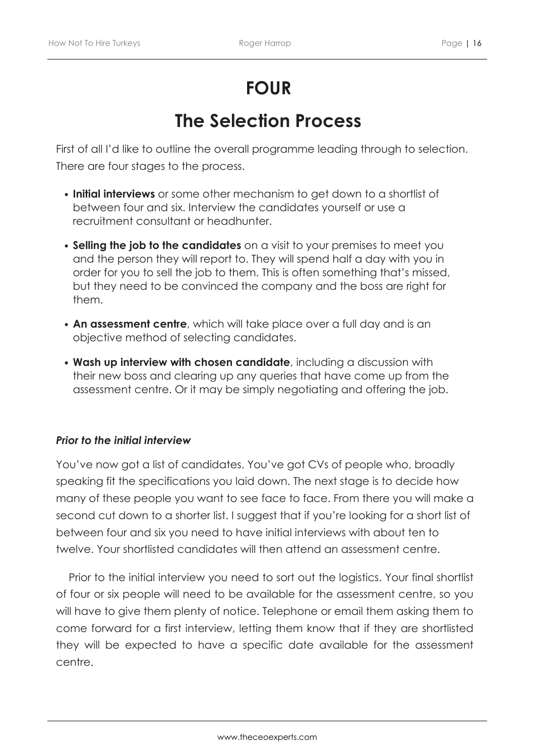# **FOUR**

## **The Selection Process**

First of all I'd like to outline the overall programme leading through to selection. There are four stages to the process.

- **Initial interviews** or some other mechanism to get down to a shortlist of between four and six. Interview the candidates yourself or use a recruitment consultant or headhunter.
- **Selling the job to the candidates** on a visit to your premises to meet you and the person they will report to. They will spend half a day with you in order for you to sell the job to them. This is often something that's missed, but they need to be convinced the company and the boss are right for them.
- **An assessment centre**, which will take place over a full day and is an objective method of selecting candidates.
- **Wash up interview with chosen candidate**, including a discussion with their new boss and clearing up any queries that have come up from the assessment centre. Or it may be simply negotiating and offering the job.

#### *Prior to the initial interview*

You've now got a list of candidates. You've got CVs of people who, broadly speaking fit the specifications you laid down. The next stage is to decide how many of these people you want to see face to face. From there you will make a second cut down to a shorter list. I suggest that if you're looking for a short list of between four and six you need to have initial interviews with about ten to twelve. Your shortlisted candidates will then attend an assessment centre.

Prior to the initial interview you need to sort out the logistics. Your final shortlist of four or six people will need to be available for the assessment centre, so you will have to give them plenty of notice. Telephone or email them asking them to come forward for a first interview, letting them know that if they are shortlisted they will be expected to have a specific date available for the assessment centre.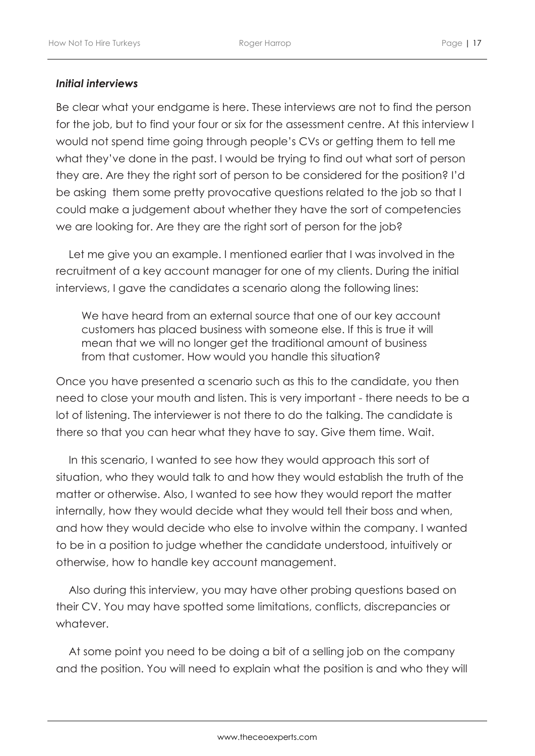#### *Initial interviews*

Be clear what your endgame is here. These interviews are not to find the person for the job, but to find your four or six for the assessment centre. At this interview I would not spend time going through people's CVs or getting them to tell me what they've done in the past. I would be trying to find out what sort of person they are. Are they the right sort of person to be considered for the position? I'd be asking them some pretty provocative questions related to the job so that I could make a judgement about whether they have the sort of competencies we are looking for. Are they are the right sort of person for the job?

Let me give you an example. I mentioned earlier that I was involved in the recruitment of a key account manager for one of my clients. During the initial interviews, I gave the candidates a scenario along the following lines:

We have heard from an external source that one of our key account customers has placed business with someone else. If this is true it will mean that we will no longer get the traditional amount of business from that customer. How would you handle this situation?

Once you have presented a scenario such as this to the candidate, you then need to close your mouth and listen. This is very important - there needs to be a lot of listening. The interviewer is not there to do the talking. The candidate is there so that you can hear what they have to say. Give them time. Wait.

In this scenario, I wanted to see how they would approach this sort of situation, who they would talk to and how they would establish the truth of the matter or otherwise. Also, I wanted to see how they would report the matter internally, how they would decide what they would tell their boss and when, and how they would decide who else to involve within the company. I wanted to be in a position to judge whether the candidate understood, intuitively or otherwise, how to handle key account management.

Also during this interview, you may have other probing questions based on their CV. You may have spotted some limitations, conflicts, discrepancies or whatever.

At some point you need to be doing a bit of a selling job on the company and the position. You will need to explain what the position is and who they will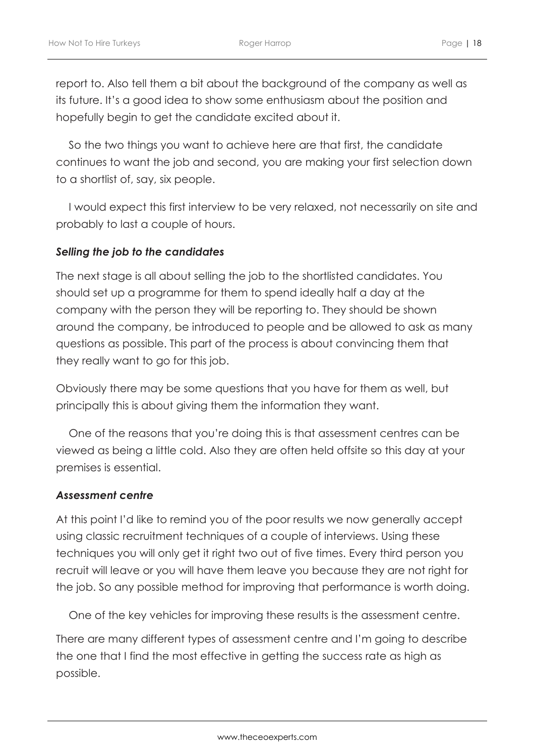report to. Also tell them a bit about the background of the company as well as its future. It's a good idea to show some enthusiasm about the position and hopefully begin to get the candidate excited about it.

So the two things you want to achieve here are that first, the candidate continues to want the job and second, you are making your first selection down to a shortlist of, say, six people.

I would expect this first interview to be very relaxed, not necessarily on site and probably to last a couple of hours.

#### *Selling the job to the candidates*

The next stage is all about selling the job to the shortlisted candidates. You should set up a programme for them to spend ideally half a day at the company with the person they will be reporting to. They should be shown around the company, be introduced to people and be allowed to ask as many questions as possible. This part of the process is about convincing them that they really want to go for this job.

Obviously there may be some questions that you have for them as well, but principally this is about giving them the information they want.

One of the reasons that you're doing this is that assessment centres can be viewed as being a little cold. Also they are often held offsite so this day at your premises is essential.

#### *Assessment centre*

At this point I'd like to remind you of the poor results we now generally accept using classic recruitment techniques of a couple of interviews. Using these techniques you will only get it right two out of five times. Every third person you recruit will leave or you will have them leave you because they are not right for the job. So any possible method for improving that performance is worth doing.

One of the key vehicles for improving these results is the assessment centre.

There are many different types of assessment centre and I'm going to describe the one that I find the most effective in getting the success rate as high as possible.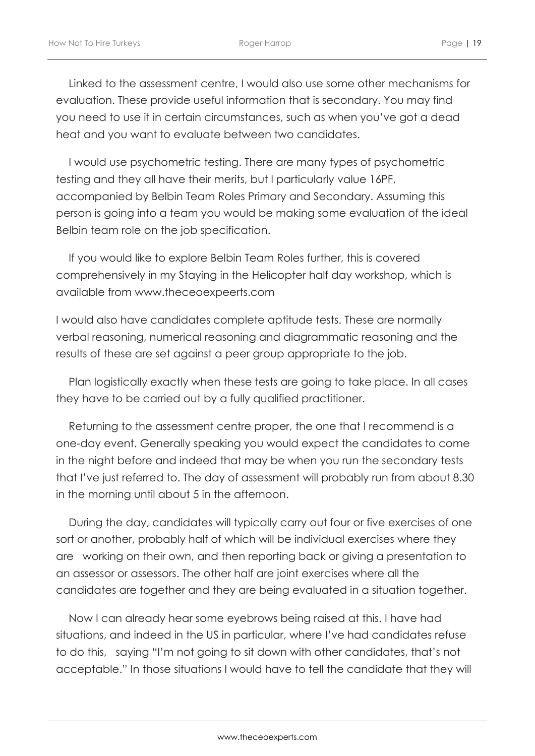Linked to the assessment centre, I would also use some other mechanisms for evaluation. These provide useful information that is secondary. You may find you need to use it in certain circumstances, such as when you've got a dead heat and you want to evaluate between two candidates.

I would use psychometric testing. There are many types of psychometric testing and they all have their merits, but I particularly value 16PF, accompanied by Belbin Team Roles Primary and Secondary. Assuming this person is going into a team you would be making some evaluation of the ideal Belbin team role on the job specification.

If you would like to explore Belbin Team Roles further, this is covered comprehensively in my Staying in the Helicopter half day workshop, which is available from www.theceoexpeerts.com

I would also have candidates complete aptitude tests. These are normally verbal reasoning, numerical reasoning and diagrammatic reasoning and the results of these are set against a peer group appropriate to the job.

Plan logistically exactly when these tests are going to take place. In all cases they have to be carried out by a fully qualified practitioner.

Returning to the assessment centre proper, the one that I recommend is a one-day event. Generally speaking you would expect the candidates to come in the night before and indeed that may be when you run the secondary tests that I've just referred to. The day of assessment will probably run from about 8.30 in the morning until about 5 in the afternoon.

During the day, candidates will typically carry out four or five exercises of one sort or another, probably half of which will be individual exercises where they are working on their own, and then reporting back or giving a presentation to an assessor or assessors. The other half are joint exercises where all the candidates are together and they are being evaluated in a situation together.

Now I can already hear some eyebrows being raised at this. I have had situations, and indeed in the US in particular, where I've had candidates refuse to do this, saying "I'm not going to sit down with other candidates, that's not acceptable." In those situations I would have to tell the candidate that they will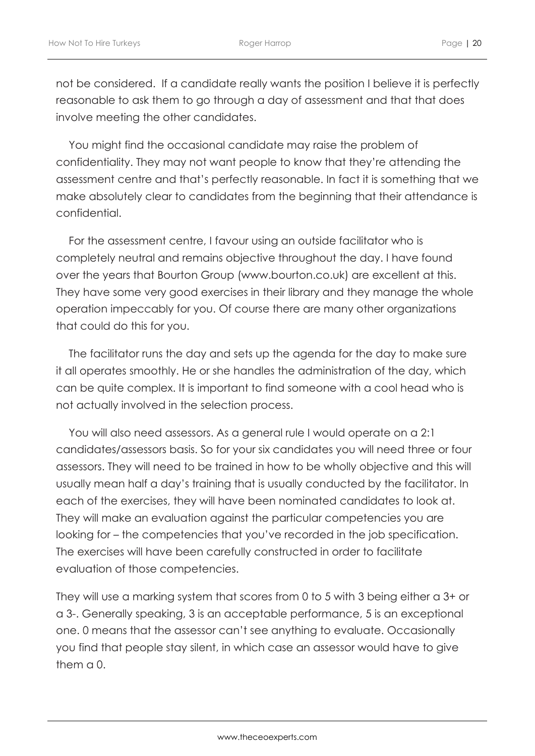not be considered. If a candidate really wants the position I believe it is perfectly reasonable to ask them to go through a day of assessment and that that does involve meeting the other candidates.

You might find the occasional candidate may raise the problem of confidentiality. They may not want people to know that they're attending the assessment centre and that's perfectly reasonable. In fact it is something that we make absolutely clear to candidates from the beginning that their attendance is confidential.

For the assessment centre, I favour using an outside facilitator who is completely neutral and remains objective throughout the day. I have found over the years that Bourton Group (www.bourton.co.uk) are excellent at this. They have some very good exercises in their library and they manage the whole operation impeccably for you. Of course there are many other organizations that could do this for you.

The facilitator runs the day and sets up the agenda for the day to make sure it all operates smoothly. He or she handles the administration of the day, which can be quite complex. It is important to find someone with a cool head who is not actually involved in the selection process.

You will also need assessors. As a general rule I would operate on a 2:1 candidates/assessors basis. So for your six candidates you will need three or four assessors. They will need to be trained in how to be wholly objective and this will usually mean half a day's training that is usually conducted by the facilitator. In each of the exercises, they will have been nominated candidates to look at. They will make an evaluation against the particular competencies you are looking for – the competencies that you've recorded in the job specification. The exercises will have been carefully constructed in order to facilitate evaluation of those competencies.

They will use a marking system that scores from 0 to 5 with 3 being either a 3+ or a 3-. Generally speaking, 3 is an acceptable performance, 5 is an exceptional one. 0 means that the assessor can't see anything to evaluate. Occasionally you find that people stay silent, in which case an assessor would have to give them a 0.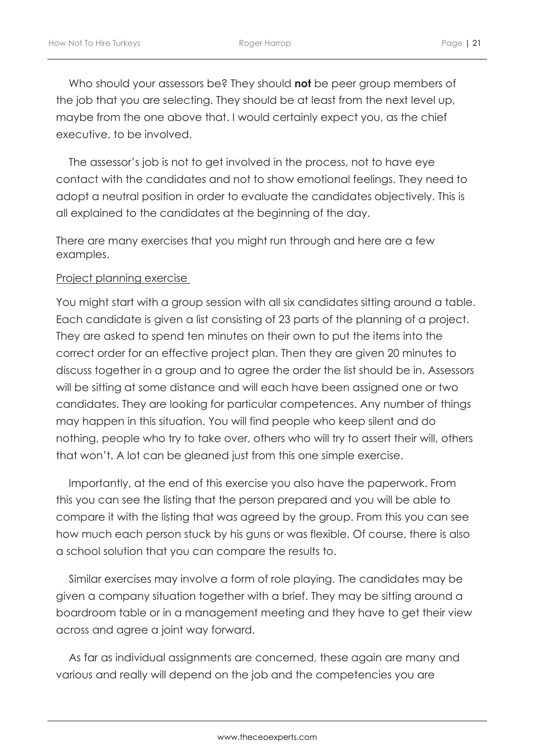Who should your assessors be? They should **not** be peer group members of the job that you are selecting. They should be at least from the next level up, maybe from the one above that. I would certainly expect you, as the chief executive, to be involved.

The assessor's job is not to get involved in the process, not to have eye contact with the candidates and not to show emotional feelings. They need to adopt a neutral position in order to evaluate the candidates objectively. This is all explained to the candidates at the beginning of the day.

There are many exercises that you might run through and here are a few examples.

#### Project planning exercise

You might start with a group session with all six candidates sitting around a table. Each candidate is given a list consisting of 23 parts of the planning of a project. They are asked to spend ten minutes on their own to put the items into the correct order for an effective project plan. Then they are given 20 minutes to discuss together in a group and to agree the order the list should be in. Assessors will be sitting at some distance and will each have been assigned one or two candidates. They are looking for particular competences. Any number of things may happen in this situation. You will find people who keep silent and do nothing, people who try to take over, others who will try to assert their will, others that won't. A lot can be gleaned just from this one simple exercise.

Importantly, at the end of this exercise you also have the paperwork. From this you can see the listing that the person prepared and you will be able to compare it with the listing that was agreed by the group. From this you can see how much each person stuck by his guns or was flexible. Of course, there is also a school solution that you can compare the results to.

Similar exercises may involve a form of role playing. The candidates may be given a company situation together with a brief. They may be sitting around a boardroom table or in a management meeting and they have to get their view across and agree a joint way forward.

As far as individual assignments are concerned, these again are many and various and really will depend on the job and the competencies you are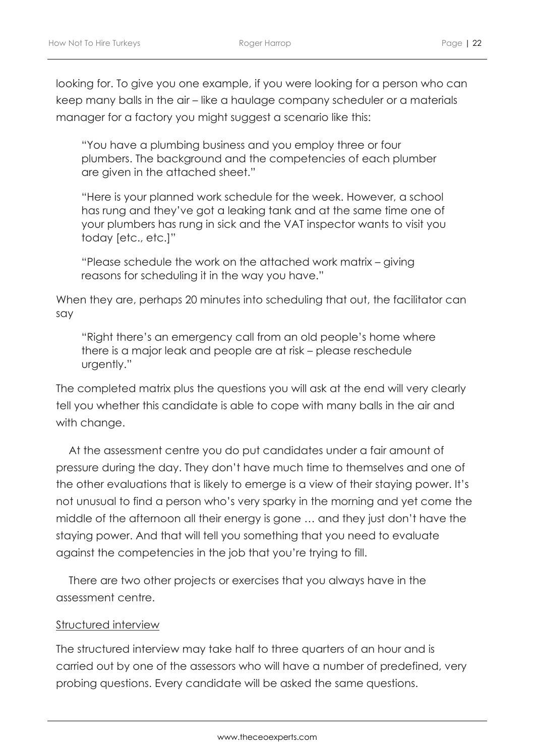looking for. To give you one example, if you were looking for a person who can keep many balls in the air – like a haulage company scheduler or a materials manager for a factory you might suggest a scenario like this:

"You have a plumbing business and you employ three or four plumbers. The background and the competencies of each plumber are given in the attached sheet."

"Here is your planned work schedule for the week. However, a school has rung and they've got a leaking tank and at the same time one of your plumbers has rung in sick and the VAT inspector wants to visit you today [etc., etc.]"

"Please schedule the work on the attached work matrix – giving reasons for scheduling it in the way you have."

When they are, perhaps 20 minutes into scheduling that out, the facilitator can say

"Right there's an emergency call from an old people's home where there is a major leak and people are at risk – please reschedule urgently."

The completed matrix plus the questions you will ask at the end will very clearly tell you whether this candidate is able to cope with many balls in the air and with change.

At the assessment centre you do put candidates under a fair amount of pressure during the day. They don't have much time to themselves and one of the other evaluations that is likely to emerge is a view of their staying power. It's not unusual to find a person who's very sparky in the morning and yet come the middle of the afternoon all their energy is gone … and they just don't have the staying power. And that will tell you something that you need to evaluate against the competencies in the job that you're trying to fill.

There are two other projects or exercises that you always have in the assessment centre.

#### Structured interview

The structured interview may take half to three quarters of an hour and is carried out by one of the assessors who will have a number of predefined, very probing questions. Every candidate will be asked the same questions.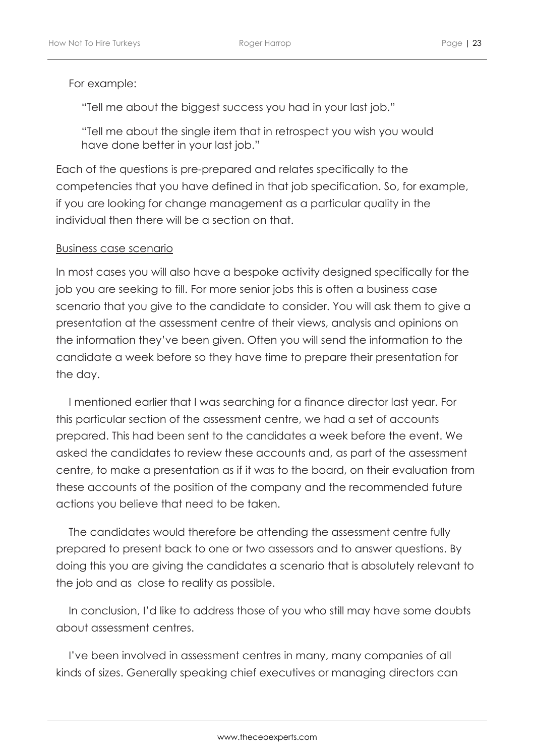#### For example:

"Tell me about the biggest success you had in your last job."

"Tell me about the single item that in retrospect you wish you would have done better in your last job."

Each of the questions is pre-prepared and relates specifically to the competencies that you have defined in that job specification. So, for example, if you are looking for change management as a particular quality in the individual then there will be a section on that.

#### Business case scenario

In most cases you will also have a bespoke activity designed specifically for the job you are seeking to fill. For more senior jobs this is often a business case scenario that you give to the candidate to consider. You will ask them to give a presentation at the assessment centre of their views, analysis and opinions on the information they've been given. Often you will send the information to the candidate a week before so they have time to prepare their presentation for the day.

I mentioned earlier that I was searching for a finance director last year. For this particular section of the assessment centre, we had a set of accounts prepared. This had been sent to the candidates a week before the event. We asked the candidates to review these accounts and, as part of the assessment centre, to make a presentation as if it was to the board, on their evaluation from these accounts of the position of the company and the recommended future actions you believe that need to be taken.

The candidates would therefore be attending the assessment centre fully prepared to present back to one or two assessors and to answer questions. By doing this you are giving the candidates a scenario that is absolutely relevant to the job and as close to reality as possible.

In conclusion, I'd like to address those of you who still may have some doubts about assessment centres.

I've been involved in assessment centres in many, many companies of all kinds of sizes. Generally speaking chief executives or managing directors can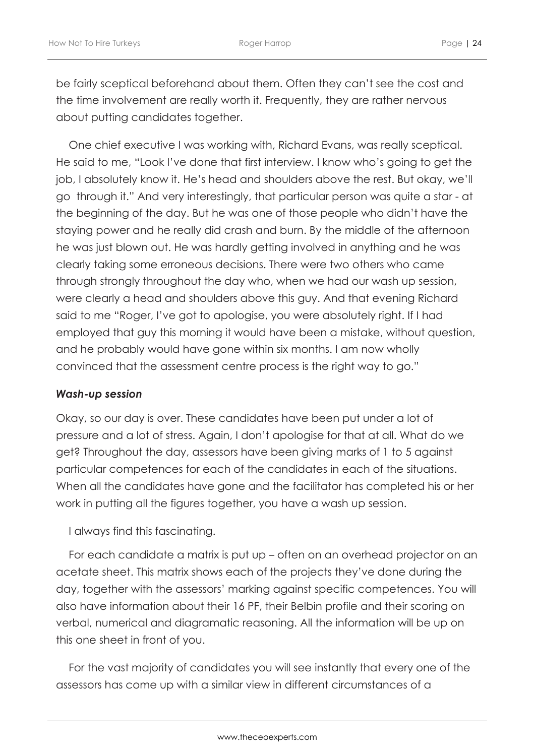be fairly sceptical beforehand about them. Often they can't see the cost and the time involvement are really worth it. Frequently, they are rather nervous about putting candidates together.

One chief executive I was working with, Richard Evans, was really sceptical. He said to me, "Look I've done that first interview. I know who's going to get the job, I absolutely know it. He's head and shoulders above the rest. But okay, we'll go through it." And very interestingly, that particular person was quite a star - at the beginning of the day. But he was one of those people who didn't have the staying power and he really did crash and burn. By the middle of the afternoon he was just blown out. He was hardly getting involved in anything and he was clearly taking some erroneous decisions. There were two others who came through strongly throughout the day who, when we had our wash up session, were clearly a head and shoulders above this guy. And that evening Richard said to me "Roger, I've got to apologise, you were absolutely right. If I had employed that guy this morning it would have been a mistake, without question, and he probably would have gone within six months. I am now wholly convinced that the assessment centre process is the right way to go."

#### *Wash-up session*

Okay, so our day is over. These candidates have been put under a lot of pressure and a lot of stress. Again, I don't apologise for that at all. What do we get? Throughout the day, assessors have been giving marks of 1 to 5 against particular competences for each of the candidates in each of the situations. When all the candidates have gone and the facilitator has completed his or her work in putting all the figures together, you have a wash up session.

I always find this fascinating.

For each candidate a matrix is put up – often on an overhead projector on an acetate sheet. This matrix shows each of the projects they've done during the day, together with the assessors' marking against specific competences. You will also have information about their 16 PF, their Belbin profile and their scoring on verbal, numerical and diagramatic reasoning. All the information will be up on this one sheet in front of you.

For the vast majority of candidates you will see instantly that every one of the assessors has come up with a similar view in different circumstances of a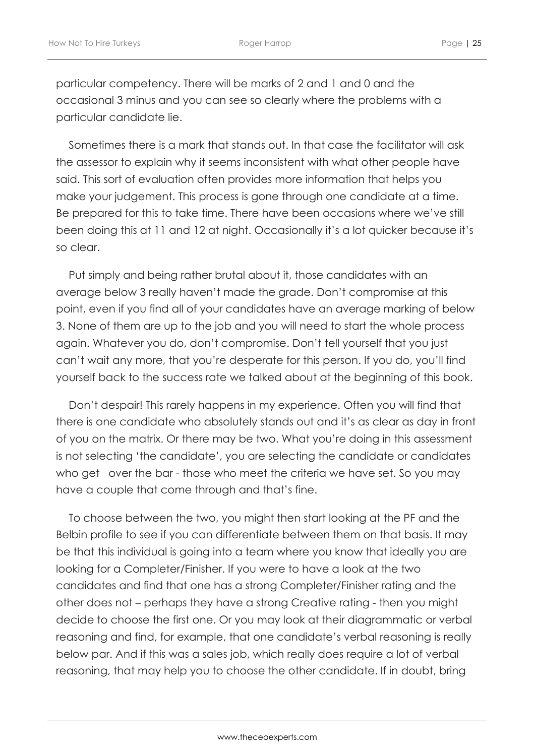particular competency. There will be marks of 2 and 1 and 0 and the occasional 3 minus and you can see so clearly where the problems with a particular candidate lie.

Sometimes there is a mark that stands out. In that case the facilitator will ask the assessor to explain why it seems inconsistent with what other people have said. This sort of evaluation often provides more information that helps you make your judgement. This process is gone through one candidate at a time. Be prepared for this to take time. There have been occasions where we've still been doing this at 11 and 12 at night. Occasionally it's a lot quicker because it's so clear.

Put simply and being rather brutal about it, those candidates with an average below 3 really haven't made the grade. Don't compromise at this point, even if you find all of your candidates have an average marking of below 3. None of them are up to the job and you will need to start the whole process again. Whatever you do, don't compromise. Don't tell yourself that you just can't wait any more, that you're desperate for this person. If you do, you'll find yourself back to the success rate we talked about at the beginning of this book.

Don't despair! This rarely happens in my experience. Often you will find that there is one candidate who absolutely stands out and it's as clear as day in front of you on the matrix. Or there may be two. What you're doing in this assessment is not selecting 'the candidate', you are selecting the candidate or candidates who get over the bar - those who meet the criteria we have set. So you may have a couple that come through and that's fine.

To choose between the two, you might then start looking at the PF and the Belbin profile to see if you can differentiate between them on that basis. It may be that this individual is going into a team where you know that ideally you are looking for a Completer/Finisher. If you were to have a look at the two candidates and find that one has a strong Completer/Finisher rating and the other does not – perhaps they have a strong Creative rating - then you might decide to choose the first one. Or you may look at their diagrammatic or verbal reasoning and find, for example, that one candidate's verbal reasoning is really below par. And if this was a sales job, which really does require a lot of verbal reasoning, that may help you to choose the other candidate. If in doubt, bring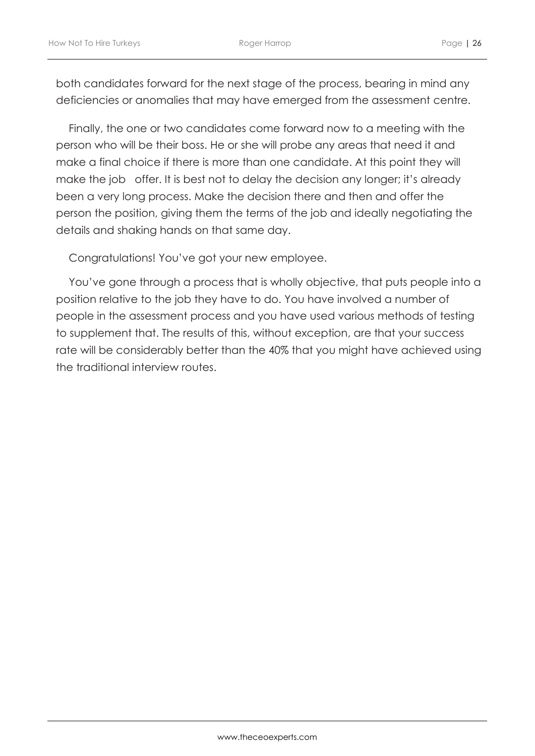both candidates forward for the next stage of the process, bearing in mind any deficiencies or anomalies that may have emerged from the assessment centre.

Finally, the one or two candidates come forward now to a meeting with the person who will be their boss. He or she will probe any areas that need it and make a final choice if there is more than one candidate. At this point they will make the job offer. It is best not to delay the decision any longer; it's already been a very long process. Make the decision there and then and offer the person the position, giving them the terms of the job and ideally negotiating the details and shaking hands on that same day.

Congratulations! You've got your new employee.

You've gone through a process that is wholly objective, that puts people into a position relative to the job they have to do. You have involved a number of people in the assessment process and you have used various methods of testing to supplement that. The results of this, without exception, are that your success rate will be considerably better than the 40% that you might have achieved using the traditional interview routes.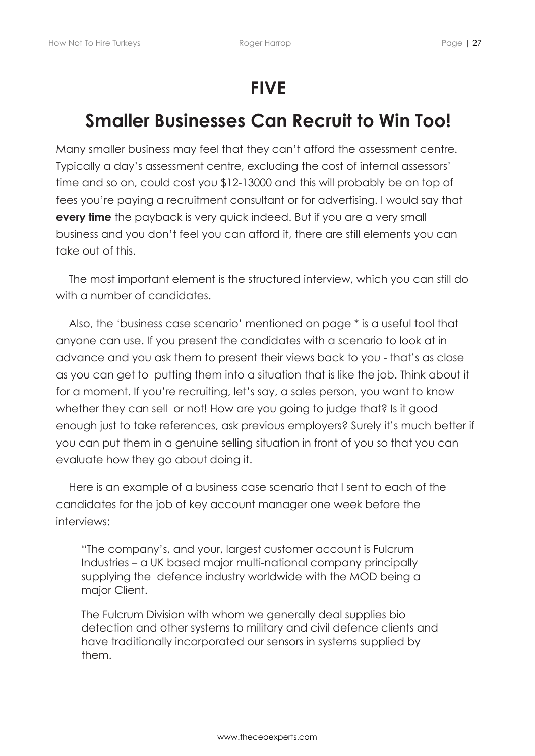## **FIVE**

## **Smaller Businesses Can Recruit to Win Too!**

Many smaller business may feel that they can't afford the assessment centre. Typically a day's assessment centre, excluding the cost of internal assessors' time and so on, could cost you \$12-13000 and this will probably be on top of fees you're paying a recruitment consultant or for advertising. I would say that **every time** the payback is very quick indeed. But if you are a very small business and you don't feel you can afford it, there are still elements you can take out of this.

The most important element is the structured interview, which you can still do with a number of candidates.

Also, the 'business case scenario' mentioned on page \* is a useful tool that anyone can use. If you present the candidates with a scenario to look at in advance and you ask them to present their views back to you - that's as close as you can get to putting them into a situation that is like the job. Think about it for a moment. If you're recruiting, let's say, a sales person, you want to know whether they can sell or not! How are you going to judge that? Is it good enough just to take references, ask previous employers? Surely it's much better if you can put them in a genuine selling situation in front of you so that you can evaluate how they go about doing it.

Here is an example of a business case scenario that I sent to each of the candidates for the job of key account manager one week before the interviews:

"The company's, and your, largest customer account is Fulcrum Industries – a UK based major multi-national company principally supplying the defence industry worldwide with the MOD being a major Client.

The Fulcrum Division with whom we generally deal supplies bio detection and other systems to military and civil defence clients and have traditionally incorporated our sensors in systems supplied by them.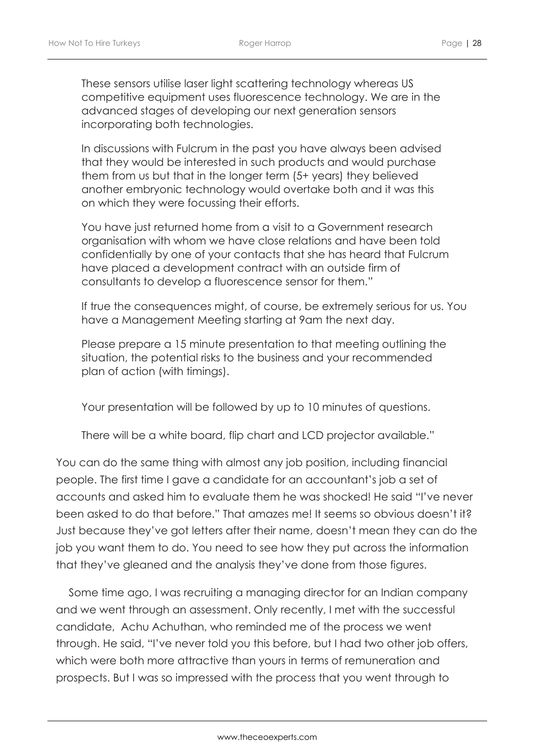These sensors utilise laser light scattering technology whereas US competitive equipment uses fluorescence technology. We are in the advanced stages of developing our next generation sensors incorporating both technologies.

In discussions with Fulcrum in the past you have always been advised that they would be interested in such products and would purchase them from us but that in the longer term (5+ years) they believed another embryonic technology would overtake both and it was this on which they were focussing their efforts.

You have just returned home from a visit to a Government research organisation with whom we have close relations and have been told confidentially by one of your contacts that she has heard that Fulcrum have placed a development contract with an outside firm of consultants to develop a fluorescence sensor for them."

If true the consequences might, of course, be extremely serious for us. You have a Management Meeting starting at 9am the next day.

Please prepare a 15 minute presentation to that meeting outlining the situation, the potential risks to the business and your recommended plan of action (with timings).

Your presentation will be followed by up to 10 minutes of questions.

There will be a white board, flip chart and LCD projector available."

You can do the same thing with almost any job position, including financial people. The first time I gave a candidate for an accountant's job a set of accounts and asked him to evaluate them he was shocked! He said "I've never been asked to do that before." That amazes me! It seems so obvious doesn't it? Just because they've got letters after their name, doesn't mean they can do the job you want them to do. You need to see how they put across the information that they've gleaned and the analysis they've done from those figures.

Some time ago, I was recruiting a managing director for an Indian company and we went through an assessment. Only recently, I met with the successful candidate, Achu Achuthan, who reminded me of the process we went through. He said, "I've never told you this before, but I had two other job offers, which were both more attractive than yours in terms of remuneration and prospects. But I was so impressed with the process that you went through to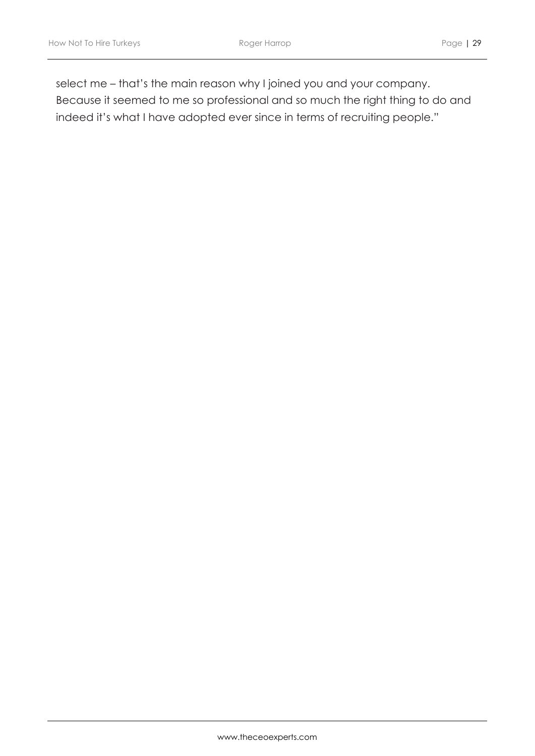select me – that's the main reason why I joined you and your company. Because it seemed to me so professional and so much the right thing to do and indeed it's what I have adopted ever since in terms of recruiting people."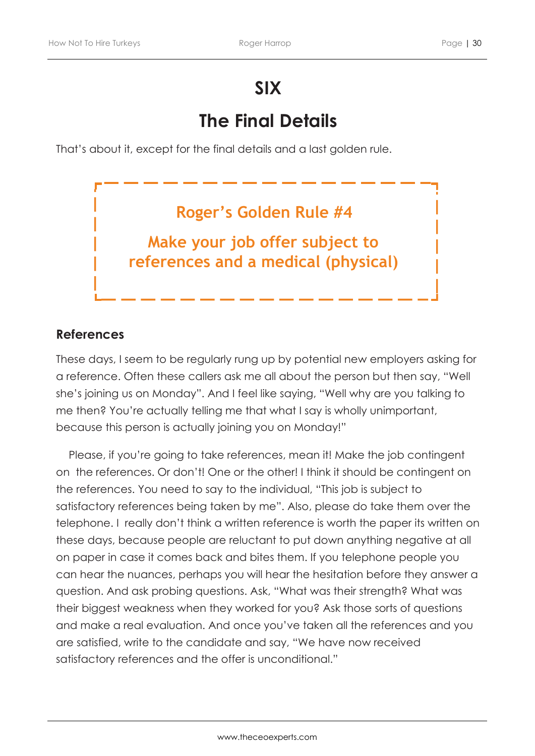## **SIX**

## **The Final Details**

That's about it, except for the final details and a last golden rule.



### **References**

These days, I seem to be regularly rung up by potential new employers asking for a reference. Often these callers ask me all about the person but then say, "Well she's joining us on Monday". And I feel like saying, "Well why are you talking to me then? You're actually telling me that what I say is wholly unimportant, because this person is actually joining you on Monday!"

Please, if you're going to take references, mean it! Make the job contingent on the references. Or don't! One or the other! I think it should be contingent on the references. You need to say to the individual, "This job is subject to satisfactory references being taken by me". Also, please do take them over the telephone. I really don't think a written reference is worth the paper its written on these days, because people are reluctant to put down anything negative at all on paper in case it comes back and bites them. If you telephone people you can hear the nuances, perhaps you will hear the hesitation before they answer a question. And ask probing questions. Ask, "What was their strength? What was their biggest weakness when they worked for you? Ask those sorts of questions and make a real evaluation. And once you've taken all the references and you are satisfied, write to the candidate and say, "We have now received satisfactory references and the offer is unconditional."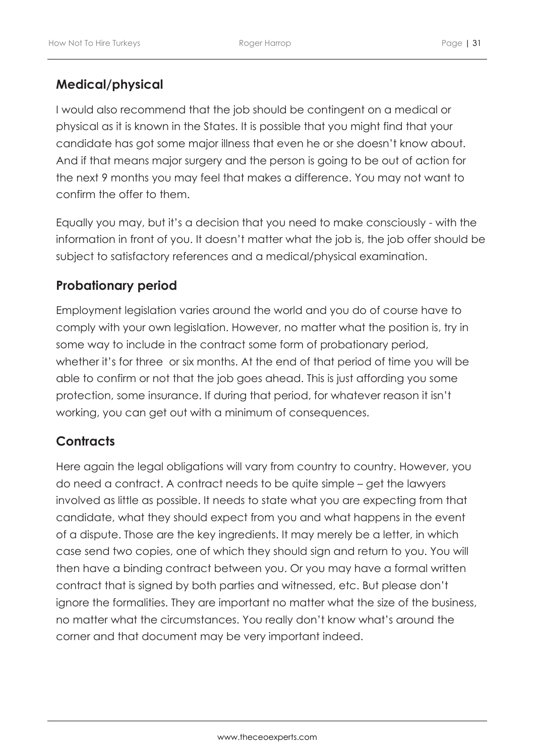### **Medical/physical**

I would also recommend that the job should be contingent on a medical or physical as it is known in the States. It is possible that you might find that your candidate has got some major illness that even he or she doesn't know about. And if that means major surgery and the person is going to be out of action for the next 9 months you may feel that makes a difference. You may not want to confirm the offer to them.

Equally you may, but it's a decision that you need to make consciously - with the information in front of you. It doesn't matter what the job is, the job offer should be subject to satisfactory references and a medical/physical examination.

### **Probationary period**

Employment legislation varies around the world and you do of course have to comply with your own legislation. However, no matter what the position is, try in some way to include in the contract some form of probationary period, whether it's for three or six months. At the end of that period of time you will be able to confirm or not that the job goes ahead. This is just affording you some protection, some insurance. If during that period, for whatever reason it isn't working, you can get out with a minimum of consequences.

### **Contracts**

Here again the legal obligations will vary from country to country. However, you do need a contract. A contract needs to be quite simple – get the lawyers involved as little as possible. It needs to state what you are expecting from that candidate, what they should expect from you and what happens in the event of a dispute. Those are the key ingredients. It may merely be a letter, in which case send two copies, one of which they should sign and return to you. You will then have a binding contract between you. Or you may have a formal written contract that is signed by both parties and witnessed, etc. But please don't ignore the formalities. They are important no matter what the size of the business, no matter what the circumstances. You really don't know what's around the corner and that document may be very important indeed.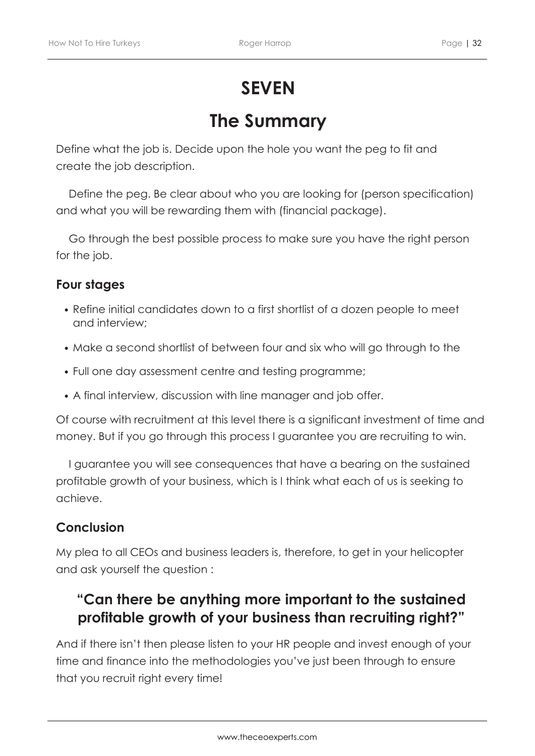# **SEVEN**

## **The Summary**

Define what the job is. Decide upon the hole you want the peg to fit and create the job description.

Define the peg. Be clear about who you are looking for (person specification) and what you will be rewarding them with (financial package).

Go through the best possible process to make sure you have the right person for the job.

### **Four stages**

- Refine initial candidates down to a first shortlist of a dozen people to meet and interview;
- Make a second shortlist of between four and six who will go through to the
- Full one day assessment centre and testing programme;
- A final interview, discussion with line manager and job offer.

Of course with recruitment at this level there is a significant investment of time and money. But if you go through this process I guarantee you are recruiting to win.

I guarantee you will see consequences that have a bearing on the sustained profitable growth of your business, which is I think what each of us is seeking to achieve.

### **Conclusion**

My plea to all CEOs and business leaders is, therefore, to get in your helicopter and ask yourself the question :

### **"Can there be anything more important to the sustained profitable growth of your business than recruiting right?"**

And if there isn't then please listen to your HR people and invest enough of your time and finance into the methodologies you've just been through to ensure that you recruit right every time!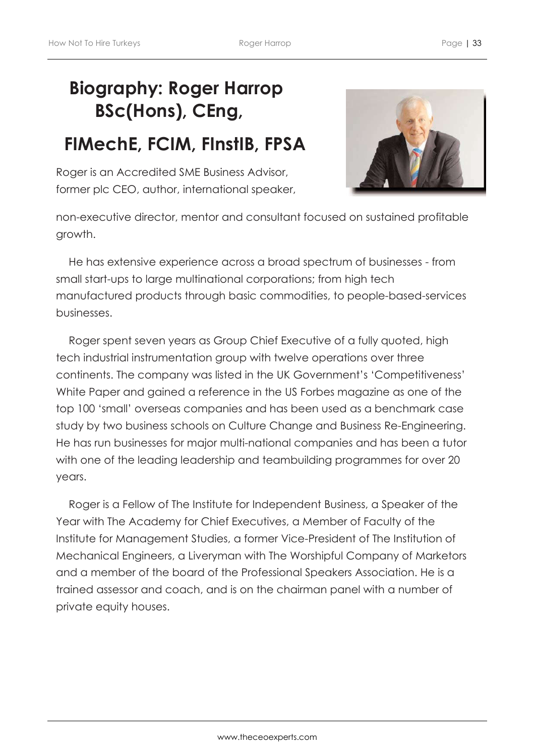# **Biography: Roger Harrop BSc(Hons), CEng,**

## **FIMechE, FCIM, FInstIB, FPSA**

Roger is an Accredited SME Business Advisor, former plc CEO, author, international speaker,



non-executive director, mentor and consultant focused on sustained profitable growth.

He has extensive experience across a broad spectrum of businesses - from small start-ups to large multinational corporations; from high tech manufactured products through basic commodities, to people-based-services businesses.

Roger spent seven years as Group Chief Executive of a fully quoted, high tech industrial instrumentation group with twelve operations over three continents. The company was listed in the UK Government's 'Competitiveness' White Paper and gained a reference in the US Forbes magazine as one of the top 100 'small' overseas companies and has been used as a benchmark case study by two business schools on Culture Change and Business Re-Engineering. He has run businesses for major multi-national companies and has been a tutor with one of the leading leadership and teambuilding programmes for over 20 years.

Roger is a Fellow of The Institute for Independent Business, a Speaker of the Year with The Academy for Chief Executives, a Member of Faculty of the Institute for Management Studies, a former Vice-President of The Institution of Mechanical Engineers, a Liveryman with The Worshipful Company of Marketors and a member of the board of the Professional Speakers Association. He is a trained assessor and coach, and is on the chairman panel with a number of private equity houses.